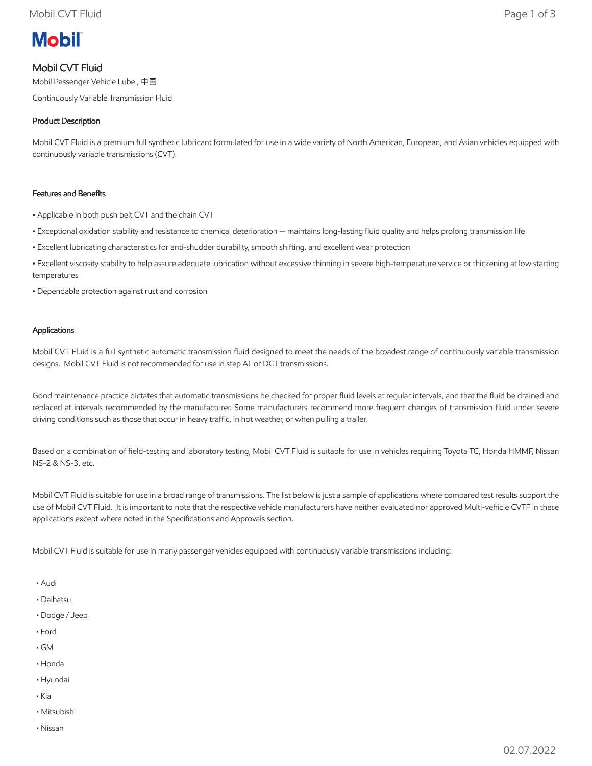

## Mobil CVT Fluid

Mobil Passenger Vehicle Lube , 中国

Continuously Variable Transmission Fluid

### Product Description

Mobil CVT Fluid is a premium full synthetic lubricant formulated for use in a wide variety of North American, European, and Asian vehicles equipped with continuously variable transmissions (CVT).

#### Features and Benefits

- Applicable in both push belt CVT and the chain CVT
- Exceptional oxidation stability and resistance to chemical deterioration maintains long-lasting fluid quality and helps prolong transmission life
- Excellent lubricating characteristics for anti-shudder durability, smooth shifting, and excellent wear protection
- Excellent viscosity stability to help assure adequate lubrication without excessive thinning in severe high-temperature service or thickening at low starting temperatures
- Dependable protection against rust and corrosion

#### Applications

Mobil CVT Fluid is a full synthetic automatic transmission fluid designed to meet the needs of the broadest range of continuously variable transmission designs. Mobil CVT Fluid is not recommended for use in step AT or DCT transmissions.

Good maintenance practice dictates that automatic transmissions be checked for proper fluid levels at regular intervals, and that the fluid be drained and replaced at intervals recommended by the manufacturer. Some manufacturers recommend more frequent changes of transmission fluid under severe driving conditions such as those that occur in heavy traffic, in hot weather, or when pulling a trailer.

Based on a combination of field-testing and laboratory testing, Mobil CVT Fluid is suitable for use in vehicles requiring Toyota TC, Honda HMMF, Nissan NS-2 & NS-3, etc.

Mobil CVT Fluid is suitable for use in a broad range of transmissions. The list below is just a sample of applications where compared test results support the use of Mobil CVT Fluid. It is important to note that the respective vehicle manufacturers have neither evaluated nor approved Multi-vehicle CVTF in these applications except where noted in the Specifications and Approvals section.

Mobil CVT Fluid is suitable for use in many passenger vehicles equipped with continuously variable transmissions including:

- Audi
- Daihatsu
- Dodge / Jeep
- Ford
- GM
- Honda
- Hyundai
- Kia
- Mitsubishi
- Nissan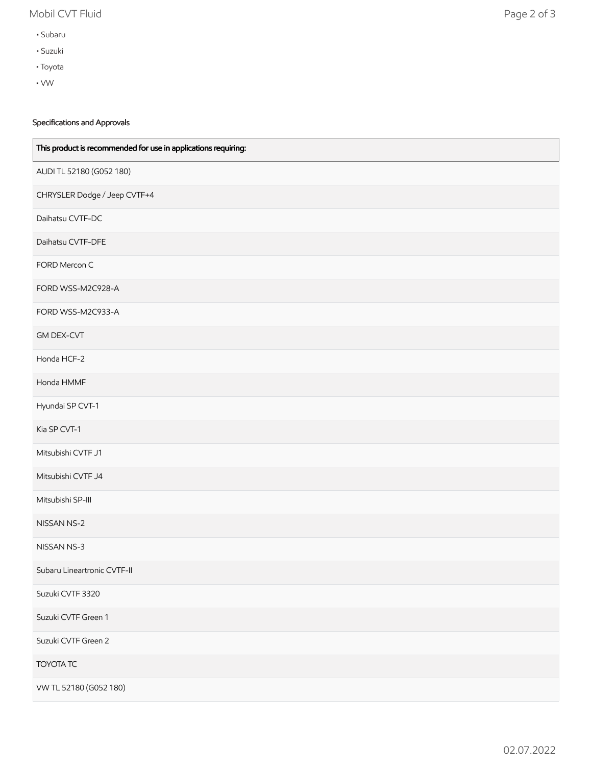# Mobil CVT Fluid Page 2 of 3

- Subaru
- Suzuki
- Toyota
- VW

## Specifications and Approvals

| This product is recommended for use in applications requiring: |
|----------------------------------------------------------------|
| AUDI TL 52180 (G052 180)                                       |
| CHRYSLER Dodge / Jeep CVTF+4                                   |
| Daihatsu CVTF-DC                                               |
| Daihatsu CVTF-DFE                                              |
| FORD Mercon C                                                  |
| FORD WSS-M2C928-A                                              |
| FORD WSS-M2C933-A                                              |
| <b>GM DEX-CVT</b>                                              |
| Honda HCF-2                                                    |
| Honda HMMF                                                     |
| Hyundai SP CVT-1                                               |
| Kia SP CVT-1                                                   |
| Mitsubishi CVTF J1                                             |
| Mitsubishi CVTF J4                                             |
| Mitsubishi SP-III                                              |
| NISSAN NS-2                                                    |
| NISSAN NS-3                                                    |
| Subaru Lineartronic CVTF-II                                    |
| Suzuki CVTF 3320                                               |
| Suzuki CVTF Green 1                                            |
| Suzuki CVTF Green 2                                            |
| <b>TOYOTA TC</b>                                               |
| VW TL 52180 (G052 180)                                         |